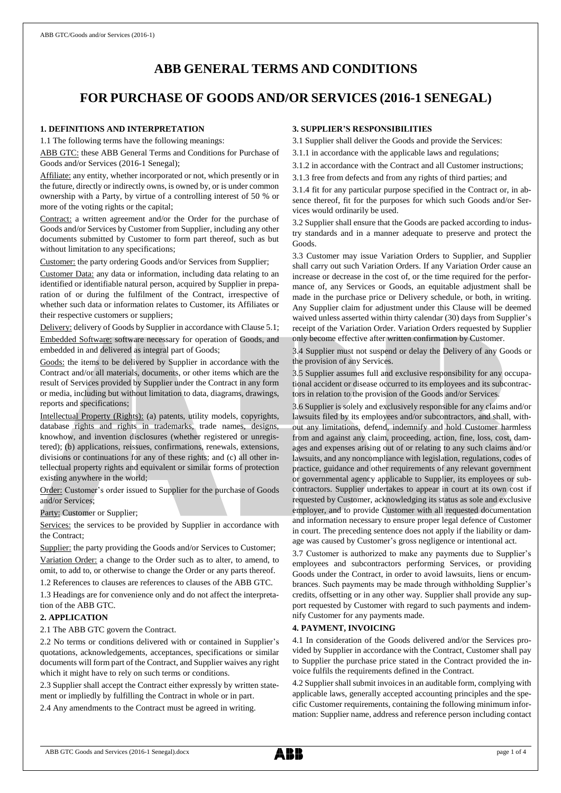# **ABB GENERAL TERMS AND CONDITIONS**

# **FOR PURCHASE OF GOODS AND/OR SERVICES (2016-1 SENEGAL)**

#### **1. DEFINITIONS AND INTERPRETATION**

1.1 The following terms have the following meanings:

ABB GTC: these ABB General Terms and Conditions for Purchase of Goods and/or Services (2016-1 Senegal);

Affiliate: any entity, whether incorporated or not, which presently or in the future, directly or indirectly owns, is owned by, or is under common ownership with a Party, by virtue of a controlling interest of 50 % or more of the voting rights or the capital;

Contract: a written agreement and/or the Order for the purchase of Goods and/or Services by Customer from Supplier, including any other documents submitted by Customer to form part thereof, such as but without limitation to any specifications;

Customer: the party ordering Goods and/or Services from Supplier;

Customer Data: any data or information, including data relating to an identified or identifiable natural person, acquired by Supplier in preparation of or during the fulfilment of the Contract, irrespective of whether such data or information relates to Customer, its Affiliates or their respective customers or suppliers;

Delivery: delivery of Goods by Supplier in accordance with Clause 5.1; Embedded Software: software necessary for operation of Goods, and embedded in and delivered as integral part of Goods;

Goods: the items to be delivered by Supplier in accordance with the Contract and/or all materials, documents, or other items which are the result of Services provided by Supplier under the Contract in any form or media, including but without limitation to data, diagrams, drawings, reports and specifications;

Intellectual Property (Rights): (a) patents, utility models, copyrights, database rights and rights in trademarks, trade names, designs, knowhow, and invention disclosures (whether registered or unregistered); (b) applications, reissues, confirmations, renewals, extensions, divisions or continuations for any of these rights; and (c) all other intellectual property rights and equivalent or similar forms of protection existing anywhere in the world;

Order: Customer's order issued to Supplier for the purchase of Goods and/or Services;

Party: Customer or Supplier;

Services: the services to be provided by Supplier in accordance with the Contract;

Supplier: the party providing the Goods and/or Services to Customer; Variation Order: a change to the Order such as to alter, to amend, to omit, to add to, or otherwise to change the Order or any parts thereof.

1.2 References to clauses are references to clauses of the ABB GTC.

1.3 Headings are for convenience only and do not affect the interpretation of the ABB GTC.

#### **2. APPLICATION**

2.1 The ABB GTC govern the Contract.

2.2 No terms or conditions delivered with or contained in Supplier's quotations, acknowledgements, acceptances, specifications or similar documents will form part of the Contract, and Supplier waives any right which it might have to rely on such terms or conditions.

2.3 Supplier shall accept the Contract either expressly by written statement or impliedly by fulfilling the Contract in whole or in part.

2.4 Any amendments to the Contract must be agreed in writing.

# **3. SUPPLIER'S RESPONSIBILITIES**

3.1 Supplier shall deliver the Goods and provide the Services:

3.1.1 in accordance with the applicable laws and regulations;

3.1.2 in accordance with the Contract and all Customer instructions;

3.1.3 free from defects and from any rights of third parties; and

3.1.4 fit for any particular purpose specified in the Contract or, in absence thereof, fit for the purposes for which such Goods and/or Services would ordinarily be used.

3.2 Supplier shall ensure that the Goods are packed according to industry standards and in a manner adequate to preserve and protect the Goods.

3.3 Customer may issue Variation Orders to Supplier, and Supplier shall carry out such Variation Orders. If any Variation Order cause an increase or decrease in the cost of, or the time required for the performance of, any Services or Goods, an equitable adjustment shall be made in the purchase price or Delivery schedule, or both, in writing. Any Supplier claim for adjustment under this Clause will be deemed waived unless asserted within thirty calendar (30) days from Supplier's receipt of the Variation Order. Variation Orders requested by Supplier only become effective after written confirmation by Customer.

3.4 Supplier must not suspend or delay the Delivery of any Goods or the provision of any Services.

3.5 Supplier assumes full and exclusive responsibility for any occupational accident or disease occurred to its employees and its subcontractors in relation to the provision of the Goods and/or Services.

3.6 Supplier is solely and exclusively responsible for any claims and/or lawsuits filed by its employees and/or subcontractors, and shall, without any limitations, defend, indemnify and hold Customer harmless from and against any claim, proceeding, action, fine, loss, cost, damages and expenses arising out of or relating to any such claims and/or lawsuits, and any noncompliance with legislation, regulations, codes of practice, guidance and other requirements of any relevant government or governmental agency applicable to Supplier, its employees or subcontractors. Supplier undertakes to appear in court at its own cost if requested by Customer, acknowledging its status as sole and exclusive employer, and to provide Customer with all requested documentation and information necessary to ensure proper legal defence of Customer in court. The preceding sentence does not apply if the liability or damage was caused by Customer's gross negligence or intentional act.

3.7 Customer is authorized to make any payments due to Supplier's employees and subcontractors performing Services, or providing Goods under the Contract, in order to avoid lawsuits, liens or encumbrances. Such payments may be made through withholding Supplier's credits, offsetting or in any other way. Supplier shall provide any support requested by Customer with regard to such payments and indemnify Customer for any payments made.

#### **4. PAYMENT, INVOICING**

4.1 In consideration of the Goods delivered and/or the Services provided by Supplier in accordance with the Contract, Customer shall pay to Supplier the purchase price stated in the Contract provided the invoice fulfils the requirements defined in the Contract.

4.2 Supplier shall submit invoices in an auditable form, complying with applicable laws, generally accepted accounting principles and the specific Customer requirements, containing the following minimum information: Supplier name, address and reference person including contact

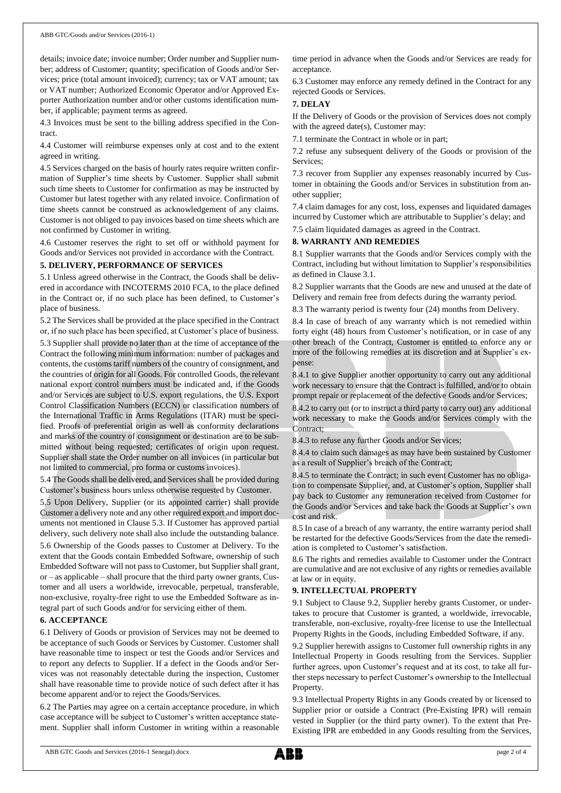details; invoice date; invoice number; Order number and Supplier number; address of Customer; quantity; specification of Goods and/or Services; price (total amount invoiced); currency; tax or VAT amount; tax or VAT number; Authorized Economic Operator and/or Approved Exporter Authorization number and/or other customs identification number, if applicable; payment terms as agreed.

4.3 Invoices must be sent to the billing address specified in the Contract.

4.4 Customer will reimburse expenses only at cost and to the extent agreed in writing.

4.5 Services charged on the basis of hourly rates require written confirmation of Supplier's time sheets by Customer. Supplier shall submit such time sheets to Customer for confirmation as may be instructed by Customer but latest together with any related invoice. Confirmation of time sheets cannot be construed as acknowledgement of any claims. Customer is not obliged to pay invoices based on time sheets which are not confirmed by Customer in writing.

4.6 Customer reserves the right to set off or withhold payment for Goods and/or Services not provided in accordance with the Contract.

#### **5. DELIVERY, PERFORMANCE OF SERVICES**

5.1 Unless agreed otherwise in the Contract, the Goods shall be delivered in accordance with INCOTERMS 2010 FCA, to the place defined in the Contract or, if no such place has been defined, to Customer's place of business.

5.2 The Services shall be provided at the place specified in the Contract or, if no such place has been specified, at Customer's place of business.

5.3 Supplier shall provide no later than at the time of acceptance of the Contract the following minimum information: number of packages and contents, the customs tariff numbers of the country of consignment, and the countries of origin for all Goods. For controlled Goods, the relevant national export control numbers must be indicated and, if the Goods and/or Services are subject to U.S. export regulations, the U.S. Export Control Classification Numbers (ECCN) or classification numbers of the International Traffic in Arms Regulations (ITAR) must be specified. Proofs of preferential origin as well as conformity declarations and marks of the country of consignment or destination are to be submitted without being requested; certificates of origin upon request. Supplier shall state the Order number on all invoices (in particular but not limited to commercial, pro forma or customs invoices).

5.4 The Goods shall be delivered, and Services shall be provided during Customer's business hours unless otherwise requested by Customer.

5.5 Upon Delivery, Supplier (or its appointed carrier) shall provide Customer a delivery note and any other required export and import documents not mentioned in Clause 5.3. If Customer has approved partial delivery, such delivery note shall also include the outstanding balance.

5.6 Ownership of the Goods passes to Customer at Delivery. To the extent that the Goods contain Embedded Software, ownership of such Embedded Software will not passto Customer, but Supplier shall grant, or – as applicable – shall procure that the third party owner grants, Customer and all users a worldwide, irrevocable, perpetual, transferable, non-exclusive, royalty-free right to use the Embedded Software as integral part of such Goods and/or for servicing either of them.

#### **6. ACCEPTANCE**

6.1 Delivery of Goods or provision of Services may not be deemed to be acceptance of such Goods or Services by Customer. Customer shall have reasonable time to inspect or test the Goods and/or Services and to report any defects to Supplier. If a defect in the Goods and/or Services was not reasonably detectable during the inspection, Customer shall have reasonable time to provide notice of such defect after it has become apparent and/or to reject the Goods/Services.

6.2 The Parties may agree on a certain acceptance procedure, in which case acceptance will be subject to Customer's written acceptance statement. Supplier shall inform Customer in writing within a reasonable time period in advance when the Goods and/or Services are ready for acceptance.

6.3 Customer may enforce any remedy defined in the Contract for any rejected Goods or Services.

#### **7. DELAY**

If the Delivery of Goods or the provision of Services does not comply with the agreed date(s), Customer may:

7.1 terminate the Contract in whole or in part;

7.2 refuse any subsequent delivery of the Goods or provision of the Services;

7.3 recover from Supplier any expenses reasonably incurred by Customer in obtaining the Goods and/or Services in substitution from another supplier;

7.4 claim damages for any cost, loss, expenses and liquidated damages incurred by Customer which are attributable to Supplier's delay; and

7.5 claim liquidated damages as agreed in the Contract.

#### **8. WARRANTY AND REMEDIES**

8.1 Supplier warrants that the Goods and/or Services comply with the Contract, including but without limitation to Supplier's responsibilities as defined in Clause 3.1.

8.2 Supplier warrants that the Goods are new and unused at the date of Delivery and remain free from defects during the warranty period.

8.3 The warranty period is twenty four (24) months from Delivery.

8.4 In case of breach of any warranty which is not remedied within forty eight (48) hours from Customer's notification, or in case of any other breach of the Contract, Customer is entitled to enforce any or more of the following remedies at its discretion and at Supplier's expense:

8.4.1 to give Supplier another opportunity to carry out any additional work necessary to ensure that the Contract is fulfilled, and/or to obtain prompt repair or replacement of the defective Goods and/or Services;

8.4.2 to carry out (or to instruct a third party to carry out) any additional work necessary to make the Goods and/or Services comply with the Contract;

8.4.3 to refuse any further Goods and/or Services;

8.4.4 to claim such damages as may have been sustained by Customer as a result of Supplier's breach of the Contract;

8.4.5 to terminate the Contract; in such event Customer has no obligation to compensate Supplier, and, at Customer's option, Supplier shall pay back to Customer any remuneration received from Customer for the Goods and/or Services and take back the Goods at Supplier's own cost and risk.

8.5 In case of a breach of any warranty, the entire warranty period shall be restarted for the defective Goods/Services from the date the remediation is completed to Customer's satisfaction.

8.6 The rights and remedies available to Customer under the Contract are cumulative and are not exclusive of any rights or remedies available at law or in equity.

#### **9. INTELLECTUAL PROPERTY**

9.1 Subject to Clause 9.2, Supplier hereby grants Customer, or undertakes to procure that Customer is granted, a worldwide, irrevocable, transferable, non-exclusive, royalty-free license to use the Intellectual Property Rights in the Goods, including Embedded Software, if any.

9.2 Supplier herewith assigns to Customer full ownership rights in any Intellectual Property in Goods resulting from the Services. Supplier further agrees, upon Customer's request and at its cost, to take all further steps necessary to perfect Customer's ownership to the Intellectual Property.

9.3 Intellectual Property Rights in any Goods created by or licensed to Supplier prior or outside a Contract (Pre-Existing IPR) will remain vested in Supplier (or the third party owner). To the extent that Pre-Existing IPR are embedded in any Goods resulting from the Services,

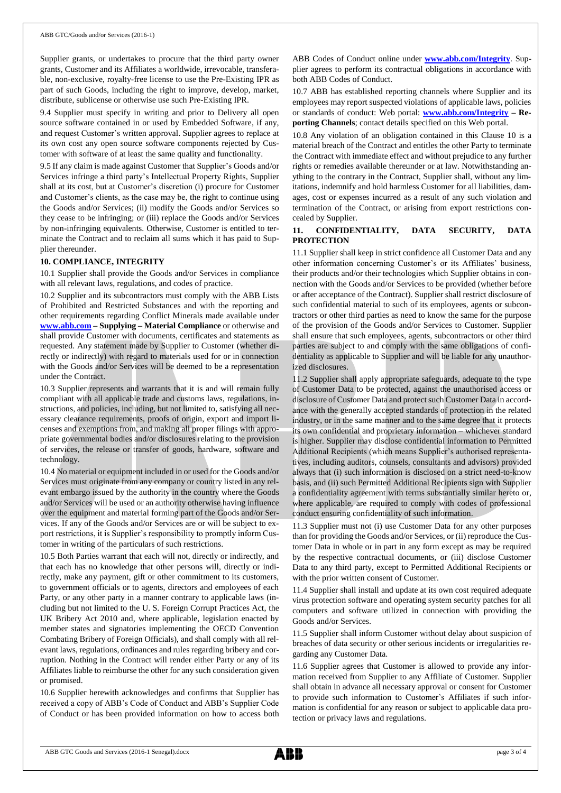Supplier grants, or undertakes to procure that the third party owner grants, Customer and its Affiliates a worldwide, irrevocable, transferable, non-exclusive, royalty-free license to use the Pre-Existing IPR as part of such Goods, including the right to improve, develop, market, distribute, sublicense or otherwise use such Pre-Existing IPR.

9.4 Supplier must specify in writing and prior to Delivery all open source software contained in or used by Embedded Software, if any, and request Customer's written approval. Supplier agrees to replace at its own cost any open source software components rejected by Customer with software of at least the same quality and functionality.

9.5 If any claim is made against Customer that Supplier's Goods and/or Services infringe a third party's Intellectual Property Rights, Supplier shall at its cost, but at Customer's discretion (i) procure for Customer and Customer's clients, as the case may be, the right to continue using the Goods and/or Services; (ii) modify the Goods and/or Services so they cease to be infringing; or (iii) replace the Goods and/or Services by non-infringing equivalents. Otherwise, Customer is entitled to terminate the Contract and to reclaim all sums which it has paid to Supplier thereunder.

#### **10. COMPLIANCE, INTEGRITY**

10.1 Supplier shall provide the Goods and/or Services in compliance with all relevant laws, regulations, and codes of practice.

10.2 Supplier and its subcontractors must comply with the ABB Lists of Prohibited and Restricted Substances and with the reporting and other requirements regarding Conflict Minerals made available under **[www.abb.com](http://www.abb.com/) – Supplying – Material Compliance** or otherwise and shall provide Customer with documents, certificates and statements as requested. Any statement made by Supplier to Customer (whether directly or indirectly) with regard to materials used for or in connection with the Goods and/or Services will be deemed to be a representation under the Contract.

10.3 Supplier represents and warrants that it is and will remain fully compliant with all applicable trade and customs laws, regulations, instructions, and policies, including, but not limited to, satisfying all necessary clearance requirements, proofs of origin, export and import licenses and exemptions from, and making all proper filings with appropriate governmental bodies and/or disclosures relating to the provision of services, the release or transfer of goods, hardware, software and technology.

10.4 No material or equipment included in or used for the Goods and/or Services must originate from any company or country listed in any relevant embargo issued by the authority in the country where the Goods and/or Services will be used or an authority otherwise having influence over the equipment and material forming part of the Goods and/or Services. If any of the Goods and/or Services are or will be subject to export restrictions, it is Supplier's responsibility to promptly inform Customer in writing of the particulars of such restrictions.

10.5 Both Parties warrant that each will not, directly or indirectly, and that each has no knowledge that other persons will, directly or indirectly, make any payment, gift or other commitment to its customers, to government officials or to agents, directors and employees of each Party, or any other party in a manner contrary to applicable laws (including but not limited to the U. S. Foreign Corrupt Practices Act, the UK Bribery Act 2010 and, where applicable, legislation enacted by member states and signatories implementing the OECD Convention Combating Bribery of Foreign Officials), and shall comply with all relevant laws, regulations, ordinances and rules regarding bribery and corruption. Nothing in the Contract will render either Party or any of its Affiliates liable to reimburse the other for any such consideration given or promised.

10.6 Supplier herewith acknowledges and confirms that Supplier has received a copy of ABB's Code of Conduct and ABB's Supplier Code of Conduct or has been provided information on how to access both ABB Codes of Conduct online under **[www.abb.com/Integrity](http://www.abb.com/Integrity)**. Supplier agrees to perform its contractual obligations in accordance with both ABB Codes of Conduct.

10.7 ABB has established reporting channels where Supplier and its employees may report suspected violations of applicable laws, policies or standards of conduct: Web portal: **[www.abb.com/Integrity](http://www.abb.com/Integrity) – Reporting Channels**; contact details specified on this Web portal.

10.8 Any violation of an obligation contained in this Clause 10 is a material breach of the Contract and entitles the other Party to terminate the Contract with immediate effect and without prejudice to any further rights or remedies available thereunder or at law. Notwithstanding anything to the contrary in the Contract, Supplier shall, without any limitations, indemnify and hold harmless Customer for all liabilities, damages, cost or expenses incurred as a result of any such violation and termination of the Contract, or arising from export restrictions concealed by Supplier.

#### **11. CONFIDENTIALITY, DATA SECURITY, DATA PROTECTION**

11.1 Supplier shall keep in strict confidence all Customer Data and any other information concerning Customer's or its Affiliates' business, their products and/or their technologies which Supplier obtains in connection with the Goods and/or Services to be provided (whether before or after acceptance of the Contract). Supplier shall restrict disclosure of such confidential material to such of its employees, agents or subcontractors or other third parties as need to know the same for the purpose of the provision of the Goods and/or Services to Customer. Supplier shall ensure that such employees, agents, subcontractors or other third parties are subject to and comply with the same obligations of confidentiality as applicable to Supplier and will be liable for any unauthorized disclosures.

11.2 Supplier shall apply appropriate safeguards, adequate to the type of Customer Data to be protected, against the unauthorised access or disclosure of Customer Data and protect such Customer Data in accordance with the generally accepted standards of protection in the related industry, or in the same manner and to the same degree that it protects its own confidential and proprietary information – whichever standard is higher. Supplier may disclose confidential information to Permitted Additional Recipients (which means Supplier's authorised representatives, including auditors, counsels, consultants and advisors) provided always that (i) such information is disclosed on a strict need-to-know basis, and (ii) such Permitted Additional Recipients sign with Supplier a confidentiality agreement with terms substantially similar hereto or, where applicable, are required to comply with codes of professional conduct ensuring confidentiality of such information.

11.3 Supplier must not (i) use Customer Data for any other purposes than for providing the Goods and/or Services, or (ii) reproduce the Customer Data in whole or in part in any form except as may be required by the respective contractual documents, or (iii) disclose Customer Data to any third party, except to Permitted Additional Recipients or with the prior written consent of Customer.

11.4 Supplier shall install and update at its own cost required adequate virus protection software and operating system security patches for all computers and software utilized in connection with providing the Goods and/or Services.

11.5 Supplier shall inform Customer without delay about suspicion of breaches of data security or other serious incidents or irregularities regarding any Customer Data.

11.6 Supplier agrees that Customer is allowed to provide any information received from Supplier to any Affiliate of Customer. Supplier shall obtain in advance all necessary approval or consent for Customer to provide such information to Customer's Affiliates if such information is confidential for any reason or subject to applicable data protection or privacy laws and regulations.